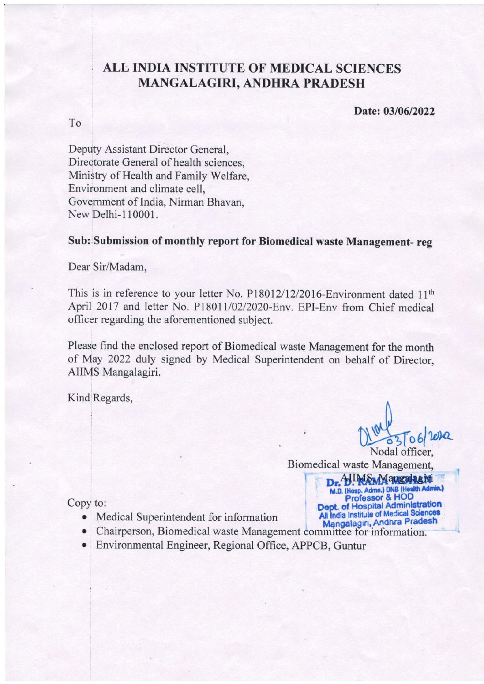## ALL INDIA INSTITUTE OF MEDICAL SCIENCES MANGALAGIRI, ANDHRA PRADESH

Date: 03/06/2022

To

Deputy Assistant Director General, Directorate General of health sciences. Ministry of Health and Family Welfare, Environment and climate cell, Government of India, Nirman Bhavan, New Delhi-110001.

## Sub: Submission of monthly report for Biomedical waste Management-reg

Dear Sir/Madam,

This is in reference to your letter No. P18012/12/2016-Environment dated 11<sup>th</sup> April 2017 and letter No. P18011/02/2020-Env. EPI-Env from Chief medical officer regarding the aforementioned subject.

Please find the enclosed report of Biomedical waste Management for the month of May 2022 duly signed by Medical Superintendent on behalf of Director, AIIMS Mangalagiri.

Kind Regards,

Nodal officer.

Biomedical waste Management, **Dr. HUMAM Augulagiti**<br>
M.D. (Hosp. Admn.) DNB (Health Admin.)<br>
Professor & HOD<br>
Dept. of Hospital Administration<br>
All India Institute of Medical Sciences

Copy to:

- Medical Superintendent for information
- Chairperson, Biomedical waste Management committee for information.
- Environmental Engineer, Regional Office, APPCB, Guntur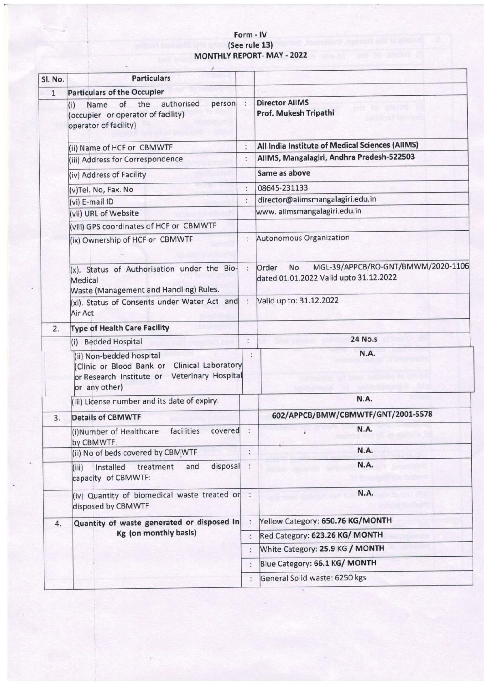## Form - lV (See rule 13) MONTHLY REPORT- MAY - 2022

| Sl. No.      | <b>Particulars</b>                                                                                                                           |               |                                                                                              |  |
|--------------|----------------------------------------------------------------------------------------------------------------------------------------------|---------------|----------------------------------------------------------------------------------------------|--|
| $\mathbf{1}$ | <b>Particulars of the Occupier</b>                                                                                                           |               |                                                                                              |  |
|              | authorised<br>of<br>the<br>person :<br>Name<br>(i)<br>(occupier or operator of facility)<br>operator of facility)                            |               | <b>Director AllMS</b><br>Prof. Mukesh Tripathi                                               |  |
|              | (ii) Name of HCF or CBMWTF                                                                                                                   |               | All India Institute of Medical Sciences (AlIMS)                                              |  |
|              | (iii) Address for Correspondence                                                                                                             | ÷             | AIIMS, Mangalagiri, Andhra Pradesh-522503                                                    |  |
|              | (iv) Address of Facility                                                                                                                     |               | Same as above                                                                                |  |
|              | (v)Tel. No, Fax. No                                                                                                                          |               | 08645-231133                                                                                 |  |
|              | (vi) E-mail ID                                                                                                                               | Ť.            | director@aiimsmangalagiri.edu.in                                                             |  |
|              | (vii) URL of Website                                                                                                                         |               | www. aiimsmangalagiri.edu.in                                                                 |  |
|              | (viii) GPS coordinates of HCF or CBMWTF                                                                                                      |               |                                                                                              |  |
|              | (ix) Ownership of HCF or CBMWTF                                                                                                              | ÷             | Autonomous Organization                                                                      |  |
|              | (x). Status of Authorisation under the Bio-<br>Medical<br>Waste (Management and Handling) Rules.                                             | ÷             | MGL-39/APPCB/RO-GNT/BMWM/2020-1106<br>Order<br>No.<br>dated 01.01.2022 Valid upto 31.12.2022 |  |
|              | (xi). Status of Consents under Water Act and<br>Air Act                                                                                      | $\mathcal{I}$ | Valid up to: 31.12.2022                                                                      |  |
| 2.           | <b>Type of Health Care Facility</b>                                                                                                          |               |                                                                                              |  |
|              | (i) Bedded Hospital                                                                                                                          | ô             | <b>24 No.s</b>                                                                               |  |
|              | (ii) Non-bedded hospital<br>(Clinic or Blood Bank or Clinical Laboratory<br>Veterinary Hospital<br>or Research Institute or<br>or any other) |               | <b>N.A.</b>                                                                                  |  |
|              | (iii) License number and its date of expiry.                                                                                                 |               | N.A.                                                                                         |  |
| 3.           | <b>Details of CBMWTF</b>                                                                                                                     |               | 602/APPCB/BMW/CBMWTF/GNT/2001-5578                                                           |  |
|              | (i)Number of Healthcare facilities covered<br>by CBMWTF.                                                                                     |               | N.A.                                                                                         |  |
|              | (ii) No of beds covered by CBMWTF                                                                                                            | $\vdots$      | N.A.                                                                                         |  |
|              | disposal<br>Installed<br>treatment<br>and<br>(iii)<br>capacity of CBMWTF:                                                                    |               | N.A.                                                                                         |  |
|              | (iv) Quantity of biomedical waste treated or :<br>disposed by CBMWTF                                                                         |               | N.A.                                                                                         |  |
| 4.           | Quantity of waste generated or disposed in<br>Kg (on monthly basis)                                                                          |               | Yellow Category: 650.76 KG/MONTH                                                             |  |
|              |                                                                                                                                              |               | Red Category: 623.26 KG/ MONTH                                                               |  |
|              |                                                                                                                                              |               | White Category: 25.9 KG / MONTH                                                              |  |
|              |                                                                                                                                              |               | Blue Category: 66.1 KG/ MONTH                                                                |  |
|              |                                                                                                                                              |               | General Solid waste: 6250 kgs                                                                |  |
|              |                                                                                                                                              |               |                                                                                              |  |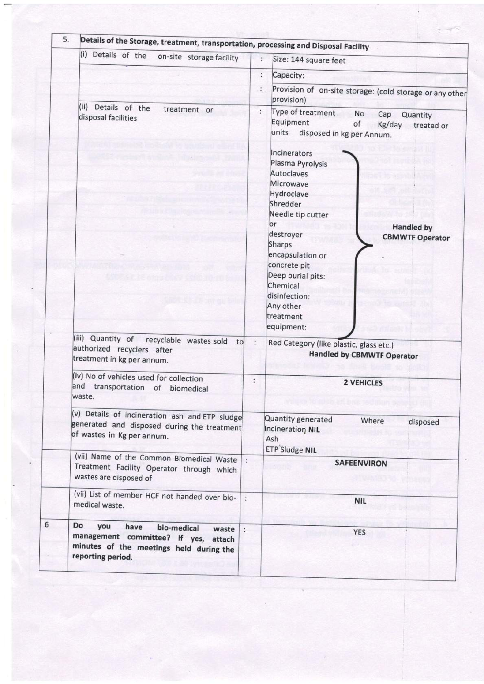| Details of the Storage, treatment, transportation, processing and Disposal Facility<br>(i) Details of the<br>on-site storage facility                |                          | ÷<br>Size: 144 square feet                                                                                                                    |  |  |
|------------------------------------------------------------------------------------------------------------------------------------------------------|--------------------------|-----------------------------------------------------------------------------------------------------------------------------------------------|--|--|
|                                                                                                                                                      |                          |                                                                                                                                               |  |  |
|                                                                                                                                                      |                          | ÷<br>Capacity:                                                                                                                                |  |  |
|                                                                                                                                                      |                          | Provision of on-site storage: (cold storage or any other<br>provision)                                                                        |  |  |
| (ii) Details of the<br>treatment or<br>disposal facilities                                                                                           |                          | Type of treatment<br>$\ddot{\cdot}$<br>No<br>Cap<br>Quantity<br>Equipment<br>of<br>Kg/day<br>treated or<br>units<br>disposed in kg per Annum. |  |  |
|                                                                                                                                                      |                          | Incinerators<br>Plasma Pyrolysis<br>Autoclaves<br>Microwave<br>Hydroclave                                                                     |  |  |
|                                                                                                                                                      |                          | Shredder                                                                                                                                      |  |  |
|                                                                                                                                                      |                          | Needle tip cutter                                                                                                                             |  |  |
|                                                                                                                                                      |                          | or<br><b>Handled by</b>                                                                                                                       |  |  |
|                                                                                                                                                      |                          | destroyer<br><b>CBMWTF Operator</b>                                                                                                           |  |  |
|                                                                                                                                                      |                          | Sharps                                                                                                                                        |  |  |
|                                                                                                                                                      |                          | encapsulation or<br>concrete pit                                                                                                              |  |  |
|                                                                                                                                                      |                          | Deep burial pits:                                                                                                                             |  |  |
|                                                                                                                                                      |                          | Chemical                                                                                                                                      |  |  |
|                                                                                                                                                      |                          | disinfection:                                                                                                                                 |  |  |
|                                                                                                                                                      |                          | Any other                                                                                                                                     |  |  |
|                                                                                                                                                      |                          | treatment                                                                                                                                     |  |  |
|                                                                                                                                                      |                          | equipment:                                                                                                                                    |  |  |
| (iii) Quantity of<br>recyclable wastes sold<br>to<br>authorized recyclers after<br>treatment in kg per annum.                                        | $\ddot{\phantom{a}}$     | Red Category (like plastic, glass etc.)<br><b>Handled by CBMWTF Operator</b>                                                                  |  |  |
| (iv) No of vehicles used for collection                                                                                                              | ÷                        | <b>2 VEHICLES</b>                                                                                                                             |  |  |
| and transportation of biomedical<br>waste.                                                                                                           |                          |                                                                                                                                               |  |  |
| (v) Details of incineration ash and ETP sludge                                                                                                       |                          | Quantity generated<br>Where<br>disposed                                                                                                       |  |  |
| generated and disposed during the treatment<br>of wastes in Kg per annum.                                                                            |                          | Incineration NIL<br>Ash<br><b>ETP</b> Sludge NIL                                                                                              |  |  |
| (vii) Name of the Common Biomedical Waste<br>Treatment Facility Operator through which<br>wastes are disposed of                                     |                          | <b>SAFEENVIRON</b>                                                                                                                            |  |  |
| (vii) List of member HCF not handed over bio-<br>medical waste.                                                                                      | $\ddot{\cdot}$           | <b>NIL</b>                                                                                                                                    |  |  |
| Do<br>you<br>have<br>bio-medical<br>waste<br>management committee? If yes,<br>attach<br>minutes of the meetings held during the<br>reporting period. | $\overline{\phantom{a}}$ | <b>YES</b>                                                                                                                                    |  |  |